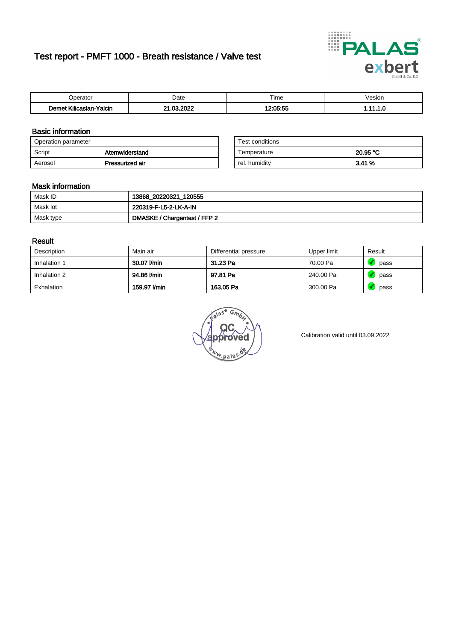# Test report - PMFT 1000 - Breath resistance / Valve test



| n<br>alul                                 | Date           | $- \cdot$<br>l ime                               | esion/ |
|-------------------------------------------|----------------|--------------------------------------------------|--------|
| -<br>.<br><b>Yalcin</b><br>aslan<br>Kilic | oooc<br>$\sim$ | $\sim$ $\sim$ $\sim$ $\sim$ $\sim$ $\sim$ $\sim$ | .      |

### Basic information

| Operation parameter |                 | Test conditions |          |
|---------------------|-----------------|-----------------|----------|
| Script              | Atemwiderstand  | Temperature     | 20.95 °C |
| Aerosol             | Pressurized air | rel. humidity   | 3.41%    |

| Test conditions |          |
|-----------------|----------|
| Temperature     | 20.95 °C |
| rel. humidity   | 3.41 %   |

#### Mask information

| Mask ID   | 13868_20220321_120555        |
|-----------|------------------------------|
| Mask lot  | 220319-F-L5-2-LK-A-IN        |
| Mask type | DMASKE / Chargentest / FFP 2 |

### Result

| Description  | Main air     | Differential pressure | Upper limit | Result |
|--------------|--------------|-----------------------|-------------|--------|
| Inhalation 1 | 30.07 l/min  | 31.23 Pa              | 70.00 Pa    | pass   |
| Inhalation 2 | 94.86 l/min  | 97.81 Pa              | 240.00 Pa   | pass   |
| Exhalation   | 159.97 l/min | 163.05 Pa             | 300.00 Pa   | pass   |

w.pala

Calibration valid until 03.09.2022